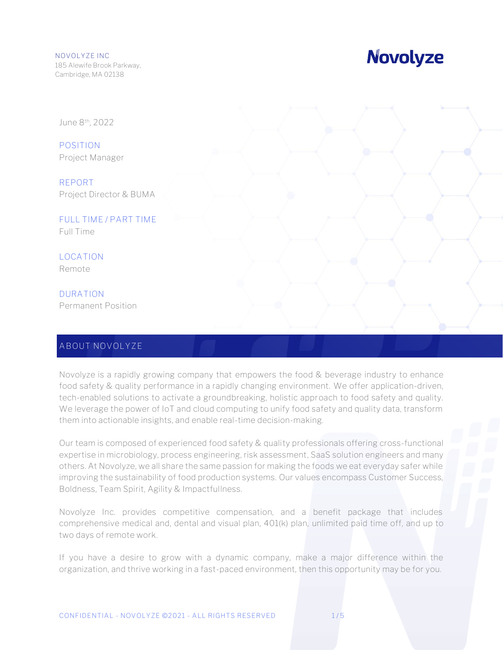## **Novolyze**

June 8th, 2022

**POSITION** Project Manager

**REPORT** Project Director & BUMA

**FULL TIME / PART TIME** Full Time

**LOCATION** Remote

**DURATION** Permanent Position

### **ABOUT NOVOLYZE**

Novolyze is a rapidly growing company that empowers the food & beverage industry to enhance food safety & quality performance in a rapidly changing environment. We offer application-driven, tech-enabled solutions to activate a groundbreaking, holistic approach to food safety and quality. We leverage the power of IoT and cloud computing to unify food safety and quality data, transform them into actionable insights, and enable real-time decision-making.

Our team is composed of experienced food safety & quality professionals offering cross-functional expertise in microbiology, process engineering, risk assessment, SaaS solution engineers and many others. At Novolyze, we all share the same passion for making the foods we eat everyday safer while improving the sustainability of food production systems. Our values encompass Customer Success, Boldness, Team Spirit, Agility & Impactfullness.

Novolyze Inc. provides competitive compensation, and a benefit package that includes comprehensive medical and, dental and visual plan, 401(k) plan, unlimited paid time off, and up to two days of remote work.

If you have a desire to grow with a dynamic company, make a major difference within the organization, and thrive working in a fast-paced environment, then this opportunity may be for you.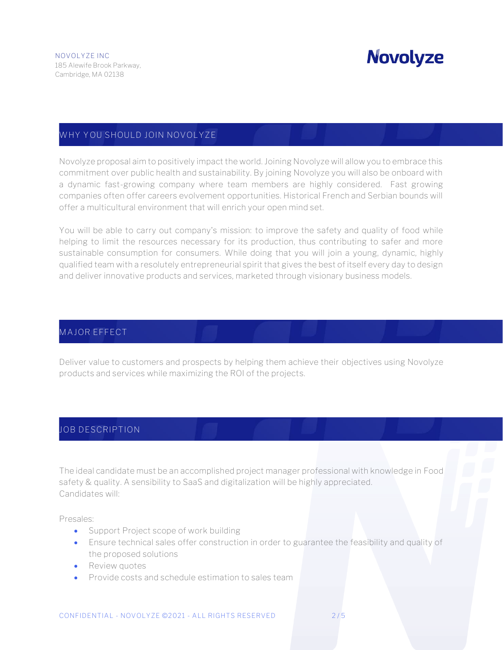## **Novolyze**

### **WHY YOU SHOULD JOIN NOVOLYZE**

Novolyze proposal aim to positively impact the world. Joining Novolyze will allow you to embrace this commitment over public health and sustainability. By joining Novolyze you will also be onboard with a dynamic fast-growing company where team members are highly considered. Fast growing companies often offer careers evolvement opportunities. Historical French and Serbian bounds will offer a multicultural environment that will enrich your open mind set.

You will be able to carry out company's mission: to improve the safety and quality of food while helping to limit the resources necessary for its production, thus contributing to safer and more sustainable consumption for consumers. While doing that you will join a young, dynamic, highly qualified team with a resolutely entrepreneurial spirit that gives the best of itself every day to design and deliver innovative products and services, marketed through visionary business models.

#### **MAJOR EFFECT**

Deliver value to customers and prospects by helping them achieve their objectives using Novolyze products and services while maximizing the ROI of the projects.

### **JOB DESCRIPTION**

The ideal candidate must be an accomplished project manager professional with knowledge in Food safety & quality. A sensibility to SaaS and digitalization will be highly appreciated. Candidates will:

Presales:

- Support Project scope of work building
- Ensure technical sales offer construction in order to guarantee the feasibility and quality of the proposed solutions
- Review quotes
- Provide costs and schedule estimation to sales team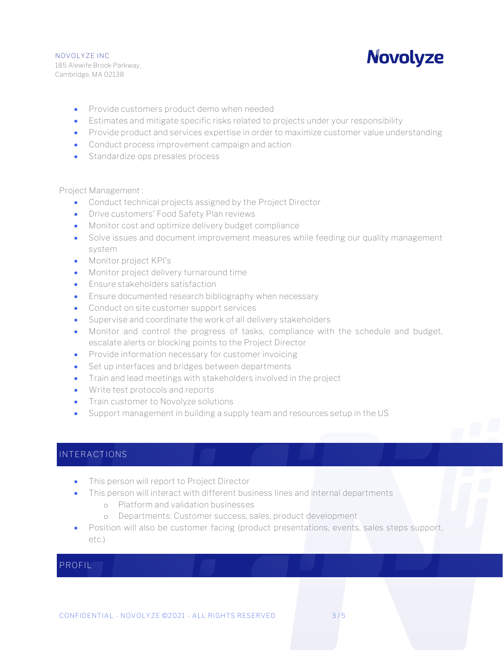## **Novolyze**

- Provide customers product demo when needed
- Estimates and mitigate specific risks related to projects under your responsibility
- Provide product and services expertise in order to maximize customer value understanding
- Conduct process improvement campaign and action
- Standardize ops presales process

Project Management :

- Conduct technical projects assigned by the Project Director
- Drive customers' Food Safety Plan reviews
- Monitor cost and optimize delivery budget compliance
- Solve issues and document improvement measures while feeding our quality management system
- Monitor project KPI's
- Monitor project delivery turnaround time
- Ensure stakeholders satisfaction
- Ensure documented research bibliography when necessary
- Conduct on site customer support services
- Supervise and coordinate the work of all delivery stakeholders
- Monitor and control the progress of tasks, compliance with the schedule and budget, escalate alerts or blocking points to the Project Director
- Provide information necessary for customer invoicing
- Set up interfaces and bridges between departments
- Train and lead meetings with stakeholders involved in the project
- Write test protocols and reports
- Train customer to Novolyze solutions
- Support management in building a supply team and resources setup in the US

### **INTERACTIONS**

- This person will report to Project Director
- This person will interact with different business lines and internal departments
	- o Platform and validation businesses
	- o Departments: Customer success, sales, product development
- Position will also be customer facing (product presentations, events, sales steps support, etc.)

#### **PROFIL**

**ROFIL**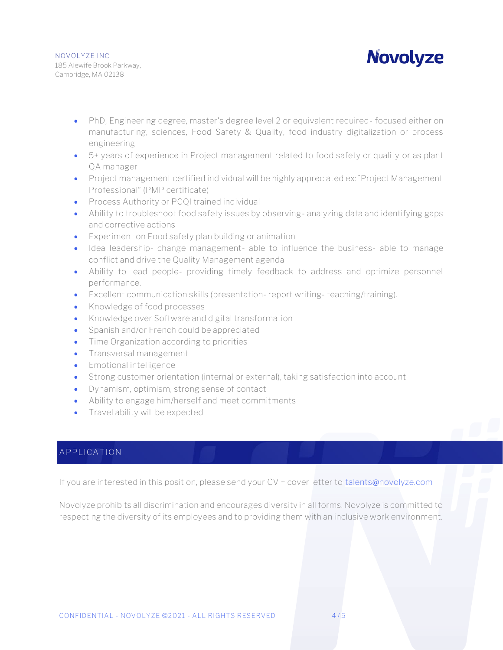**Novolyze** 

- PhD, Engineering degree, master's degree level 2 or equivalent required-focused either on manufacturing, sciences, Food Safety & Quality, food industry digitalization or process engineering
- 5+ years of experience in Project management related to food safety or quality or as plant QA manager
- Project management certified individual will be highly appreciated ex: "Project Management Professional" (PMP certificate)
- Process Authority or PCQI trained individual
- Ability to troubleshoot food safety issues by observing-analyzing data and identifying gaps and corrective actions
- Experiment on Food safety plan building or animation
- Idea leadership- change management- able to influence the business- able to manage conflict and drive the Quality Management agenda
- Ability to lead people- providing timely feedback to address and optimize personnel performance.
- Excellent communication skills (presentation- report writing- teaching/training).
- Knowledge of food processes
- Knowledge over Software and digital transformation
- Spanish and/or French could be appreciated
- Time Organization according to priorities
- Transversal management
- Emotional intelligence
- Strong customer orientation (internal or external), taking satisfaction into account
- Dynamism, optimism, strong sense of contact
- Ability to engage him/herself and meet commitments
- Travel ability will be expected

### **APPLICATION**

**RESPONSIBILITIES**

If you are interested in this position, please send your CV + cover letter to [talents@novolyze.com](mailto:talents@novolyze.com)

Novolyze prohibits all discrimination and encourages diversity in all forms. Novolyze is committed to respecting the diversity of its employees and to providing them with an inclusive work environment.